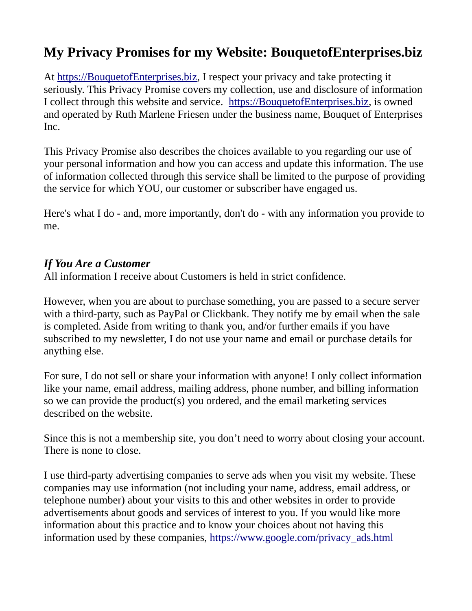# **My Privacy Promises for my Website: BouquetofEnterprises.biz**

At [https://BouquetofEnterprises.biz,](http://ruthes-secretroses.com/) I respect your privacy and take protecting it seriously. This Privacy Promise covers my collection, use and disclosure of information I collect through this website and service. [https://BouquetofEnterprises.biz](http://ruthes-secretroses.com/), is owned and operated by Ruth Marlene Friesen under the business name, Bouquet of Enterprises Inc.

This Privacy Promise also describes the choices available to you regarding our use of your personal information and how you can access and update this information. The use of information collected through this service shall be limited to the purpose of providing the service for which YOU, our customer or subscriber have engaged us.

Here's what I do - and, more importantly, don't do - with any information you provide to me.

## *If You Are a Customer*

All information I receive about Customers is held in strict confidence.

However, when you are about to purchase something, you are passed to a secure server with a third-party, such as PayPal or Clickbank. They notify me by email when the sale is completed. Aside from writing to thank you, and/or further emails if you have subscribed to my newsletter, I do not use your name and email or purchase details for anything else.

For sure, I do not sell or share your information with anyone! I only collect information like your name, email address, mailing address, phone number, and billing information so we can provide the product(s) you ordered, and the email marketing services described on the website.

Since this is not a membership site, you don't need to worry about closing your account. There is none to close.

I use third-party advertising companies to serve ads when you visit my website. These companies may use information (not including your name, address, email address, or telephone number) about your visits to this and other websites in order to provide advertisements about goods and services of interest to you. If you would like more information about this practice and to know your choices about not having this information used by these companies, https://www.google.com/privacy\_ads.html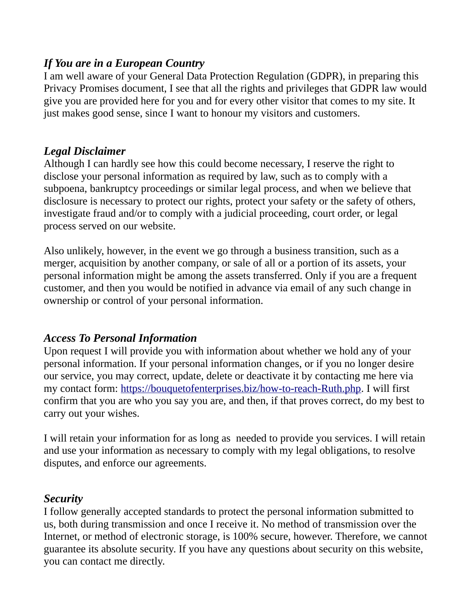## *If You are in a European Country*

I am well aware of your General Data Protection Regulation (GDPR), in preparing this Privacy Promises document, I see that all the rights and privileges that GDPR law would give you are provided here for you and for every other visitor that comes to my site. It just makes good sense, since I want to honour my visitors and customers.

### *Legal Disclaimer*

Although I can hardly see how this could become necessary, I reserve the right to disclose your personal information as required by law, such as to comply with a subpoena, bankruptcy proceedings or similar legal process, and when we believe that disclosure is necessary to protect our rights, protect your safety or the safety of others, investigate fraud and/or to comply with a judicial proceeding, court order, or legal process served on our website.

Also unlikely, however, in the event we go through a business transition, such as a merger, acquisition by another company, or sale of all or a portion of its assets, your personal information might be among the assets transferred. Only if you are a frequent customer, and then you would be notified in advance via email of any such change in ownership or control of your personal information.

## *Access To Personal Information*

Upon request I will provide you with information about whether we hold any of your personal information. If your personal information changes, or if you no longer desire our service, you may correct, update, delete or deactivate it by contacting me here via my contact form: [https://bouquetofenterprises.biz/how-to-reach-Ruth.php.](http://agodlyinheritance.com/TO6connect.php) I will first confirm that you are who you say you are, and then, if that proves correct, do my best to carry out your wishes.

I will retain your information for as long as needed to provide you services. I will retain and use your information as necessary to comply with my legal obligations, to resolve disputes, and enforce our agreements.

### *Security*

I follow generally accepted standards to protect the personal information submitted to us, both during transmission and once I receive it. No method of transmission over the Internet, or method of electronic storage, is 100% secure, however. Therefore, we cannot guarantee its absolute security. If you have any questions about security on this website, you can contact me directly.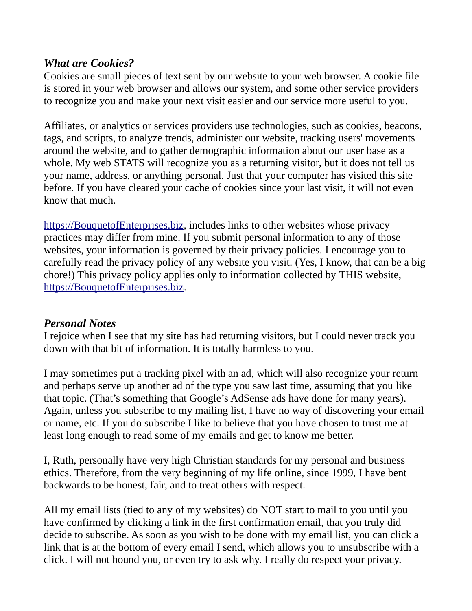## *What are Cookies?*

Cookies are small pieces of text sent by our website to your web browser. A cookie file is stored in your web browser and allows our system, and some other service providers to recognize you and make your next visit easier and our service more useful to you.

Affiliates, or analytics or services providers use technologies, such as cookies, beacons, tags, and scripts, to analyze trends, administer our website, tracking users' movements around the website, and to gather demographic information about our user base as a whole. My web STATS will recognize you as a returning visitor, but it does not tell us your name, address, or anything personal. Just that your computer has visited this site before. If you have cleared your cache of cookies since your last visit, it will not even know that much.

[https://BouquetofEnterprises.biz](http://ruthes-secretroses.com/), includes links to other websites whose privacy practices may differ from mine. If you submit personal information to any of those websites, your information is governed by their privacy policies. I encourage you to carefully read the privacy policy of any website you visit. (Yes, I know, that can be a big chore!) This privacy policy applies only to information collected by THIS website, [https://BouquetofEnterprises.biz](http://ruthes-secretroses.com/).

### *Personal Notes*

I rejoice when I see that my site has had returning visitors, but I could never track you down with that bit of information. It is totally harmless to you.

I may sometimes put a tracking pixel with an ad, which will also recognize your return and perhaps serve up another ad of the type you saw last time, assuming that you like that topic. (That's something that Google's AdSense ads have done for many years). Again, unless you subscribe to my mailing list, I have no way of discovering your email or name, etc. If you do subscribe I like to believe that you have chosen to trust me at least long enough to read some of my emails and get to know me better.

I, Ruth, personally have very high Christian standards for my personal and business ethics. Therefore, from the very beginning of my life online, since 1999, I have bent backwards to be honest, fair, and to treat others with respect.

All my email lists (tied to any of my websites) do NOT start to mail to you until you have confirmed by clicking a link in the first confirmation email, that you truly did decide to subscribe. As soon as you wish to be done with my email list, you can click a link that is at the bottom of every email I send, which allows you to unsubscribe with a click. I will not hound you, or even try to ask why. I really do respect your privacy.